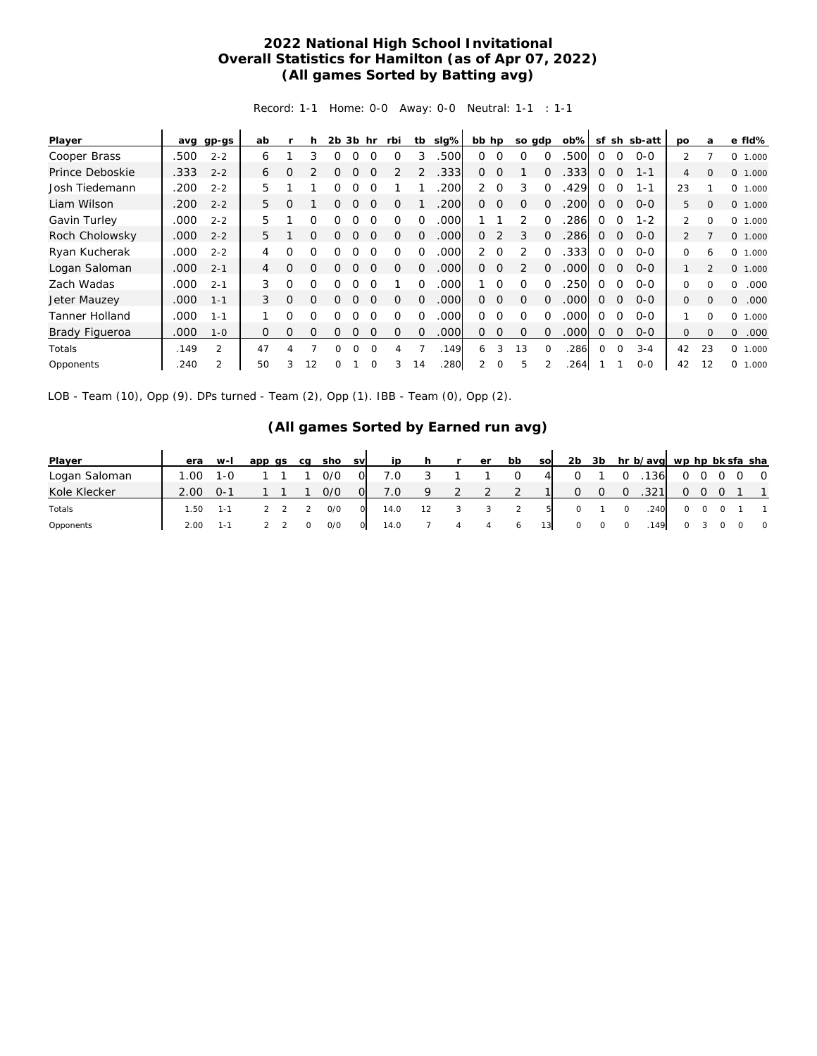## **2022 National High School Invitational Overall Statistics for Hamilton (as of Apr 07, 2022) (All games Sorted by Batting avg)**

Record: 1-1 Home: 0-0 Away: 0-0 Neutral: 1-1 : 1-1

| Player                | avg  | gp-gs          | ab       |          | h        | 2b | 3b hr    |          | rbi      | tb       | slg% | bb hp          |             | so gdp         |          | $ob\%$ |          | sf sh       | sb-att  | po             | a              | e fld%           |
|-----------------------|------|----------------|----------|----------|----------|----|----------|----------|----------|----------|------|----------------|-------------|----------------|----------|--------|----------|-------------|---------|----------------|----------------|------------------|
| Cooper Brass          | .500 | $2 - 2$        | 6        |          | 3        | Ω  | 0        | $\Omega$ | $\Omega$ | 3        | 500  | $\Omega$       | $\Omega$    | $\Omega$       | $\Omega$ | .500   | $\Omega$ | $\Omega$    | $O-O$   | $\mathcal{P}$  |                | O<br>1.000       |
| Prince Deboskie       | .333 | $2 - 2$        | 6        | $\Omega$ |          | Ω  | Ω        |          |          |          | .333 | 0              | $\Omega$    |                | $\Omega$ | .333   | $\Omega$ | $\Omega$    | $1 - 1$ | 4              | $\Omega$       | 0 1.000          |
| Josh Tiedemann        | .200 | $2 - 2$        | 5        |          |          | Ω  | ∩        |          |          |          | 200  | 2              | $\Omega$    | 3              | $\Omega$ | .429   | ∩        | $\Omega$    | $1 - 1$ | 23             |                | 0 1.000          |
| Liam Wilson           | .200 | $2 - 2$        | 5        | $\Omega$ |          |    |          |          |          |          | .200 | 0              | $\circ$     | $\Omega$       | $\Omega$ | .200   | $\Omega$ | $\mathbf 0$ | $O-O$   | 5              | $\Omega$       | 0 1.000          |
| Gavin Turley          | .000 | $2 - 2$        | 5.       |          | $\Omega$ | ∩  |          | ∩        |          | ∩        | .000 |                |             | っ              | $\Omega$ | 286    | $\Omega$ | $\Omega$    | $1 - 2$ | $\overline{2}$ | $\Omega$       | 0<br>1.000       |
| Roch Cholowsky        | .000 | $2 - 2$        | 5        |          | $\Omega$ | O  |          |          | Ω        | $\Omega$ | .000 | 0              | 2           | 3              | $\Omega$ | .286   | $\Omega$ | $\Omega$    | $0 - 0$ | $\overline{2}$ |                | 0 1.000          |
| Ryan Kucherak         | .000 | $2 - 2$        | 4        | $\Omega$ | $\Omega$ | ∩  |          | ∩        |          | 0        | .000 | $\overline{2}$ | $\Omega$    | $\mathcal{P}$  | $\Omega$ | .333   | 0        | $\Omega$    | $O-O$   | 0              | 6              | 0<br>1.000       |
| Logan Saloman         | .000 | $2 - 1$        | 4        | $\Omega$ | $\Omega$ | 0  | 0        |          | $\Omega$ | 0        | .000 | $\Omega$       | $\Omega$    | $\overline{2}$ | $\Omega$ | .000   | $\Omega$ | $\Omega$    | $O-O$   |                | $\mathfrak{D}$ | 0 1.000          |
| Zach Wadas            | .000 | $2 - 1$        | 3        | $\Omega$ | $\Omega$ | Ω  | ∩        | ∩        |          | 0        | .000 |                | $\Omega$    | $\Omega$       | $\Omega$ | 250    | 0        | $\Omega$    | $0 - 0$ | 0              | $\Omega$       | .000<br>0        |
| Jeter Mauzey          | .000 | $1 - 1$        | 3        | $\Omega$ | $\Omega$ | 0  | 0        | $\Omega$ | Ω        | 0        | .000 | $\Omega$       | $\Omega$    | $\Omega$       | $\Omega$ | .000   | $\Omega$ | $\Omega$    | $0 - 0$ | $\Omega$       | $\Omega$       | 0<br>.000        |
| <b>Tanner Holland</b> | .000 | $1 - 1$        |          | 0        | Ω        | O  | ∩        | $\Omega$ | O        | 0        | 000  | 0              | $\Omega$    | $\Omega$       | $\Omega$ | .000   | $\Omega$ | $\Omega$    | $0 - 0$ |                | $\Omega$       | 0<br>1.000       |
| <b>Brady Figueroa</b> | .000 | $1 - 0$        | $\Omega$ | $\Omega$ | $\Omega$ | 0  | $\Omega$ | $\Omega$ | $\Omega$ | $\Omega$ | .000 | $\Omega$       | $\mathbf 0$ | $\Omega$       | $\Omega$ | .000   | $\Omega$ | $\Omega$    | $0 - 0$ | 0              | $\Omega$       | $\Omega$<br>.000 |
| Totals                | .149 | $\mathfrak{D}$ | 47       | 4        |          | 0  | $\Omega$ | $\Omega$ | 4        |          | .149 | 6              | 3           | 13             | $\Omega$ | 286    | 0        | $\Omega$    | $3 - 4$ | 42             | 23             | 0<br>1.000       |
| Opponents             | .240 | $\overline{2}$ | 50       | 3        | 12       | 0  |          |          | 3        | 14       | .280 | $\overline{2}$ | $\Omega$    | 5              |          | .264   |          |             | $0 - 0$ | 42             | 12             | 0<br>1.000       |

LOB - Team (10), Opp (9). DPs turned - Team (2), Opp (1). IBB - Team (0), Opp (2).

## **(All games Sorted by Earned run avg)**

| Player        | era  | $W-I$   | app qs | ca | sho | <b>SV</b> | in   |    | er | bb           | <b>SO</b> | 2 <sub>b</sub> | 3b |          | hr b/avg wp hp bk sfa sha |   |     |                |
|---------------|------|---------|--------|----|-----|-----------|------|----|----|--------------|-----------|----------------|----|----------|---------------------------|---|-----|----------------|
| Logan Saloman | 1.00 | $1 - 0$ |        |    | 0/0 | O.        | 7.0  |    |    |              | $\Delta$  |                |    |          | 136                       |   |     | $\overline{0}$ |
| Kole Klecker  | 2.00 | ∴ O–1   |        |    | 0/0 | 0l        | 7.0  | Q  |    |              |           | O.             |    | $\Omega$ | .321                      | Ω | - 0 |                |
| Totals        | .50  | $1 - 1$ |        |    | O/O | $\circ$   | 14.0 | 12 |    |              | 51        |                |    |          | .240                      |   |     |                |
| Opponents     | 2.00 | 1-1     |        |    | O/O | $\circ$   | 14.0 |    |    | <sup>6</sup> | 131       | 0              |    |          | .149                      |   |     | $\overline{0}$ |